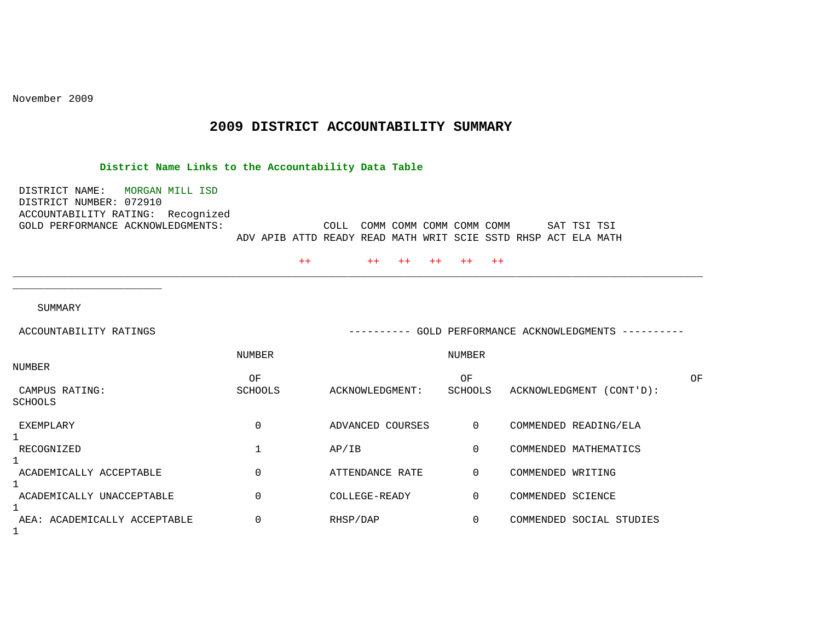November 2009

## **2009 DISTRICT ACCOUNTABILITY SUMMARY**

\_\_\_\_\_\_\_\_\_\_\_\_\_\_\_\_\_\_\_\_\_\_\_\_\_\_\_\_\_\_\_\_\_\_\_\_\_\_\_\_\_\_\_\_\_\_\_\_\_\_\_\_\_\_\_\_\_\_\_\_\_\_\_\_\_\_\_\_\_\_\_\_\_\_\_\_\_\_\_\_\_\_\_\_\_\_\_\_\_\_\_\_\_\_\_\_\_\_\_\_\_\_\_\_\_\_\_\_\_\_\_

## **District Name Links to the Accountability Data Table**

 DISTRICT NAME: MORGAN MILL ISD DISTRICT NUMBER: 072910 ACCOUNTABILITY RATING: Recognized<br>GOLD PERFORMANCE ACKNOWLEDGMENTS: COLL COMM COMM COMM COMM COMM SAT TSI TSI ADV APIB ATTD READY READ MATH WRIT SCIE SSTD RHSP ACT ELA MATH

++ ++ ++ ++ ++ ++

SUMMARY

\_\_\_\_\_\_\_\_\_\_\_\_\_\_\_\_\_\_\_\_\_\_\_\_

| ACCOUNTABILITY RATINGS       | GOLD PERFORMANCE ACKNOWLEDGMENTS<br>--------- |                  |                |                          |    |  |
|------------------------------|-----------------------------------------------|------------------|----------------|--------------------------|----|--|
|                              | NUMBER                                        |                  | NUMBER         |                          |    |  |
| NUMBER                       | OF                                            |                  | ΟF             |                          | OF |  |
| CAMPUS RATING:               | <b>SCHOOLS</b>                                | ACKNOWLEDGMENT:  | SCHOOLS        | ACKNOWLEDGMENT (CONT'D): |    |  |
| <b>SCHOOLS</b>               |                                               |                  |                |                          |    |  |
| EXEMPLARY                    | 0                                             | ADVANCED COURSES | $\overline{0}$ | COMMENDED READING/ELA    |    |  |
| RECOGNIZED                   |                                               | AP/IB            | $\Omega$       | COMMENDED MATHEMATICS    |    |  |
| ACADEMICALLY ACCEPTABLE      | 0                                             | ATTENDANCE RATE  | $\overline{0}$ | COMMENDED WRITING        |    |  |
| ACADEMICALLY UNACCEPTABLE    | 0                                             | COLLEGE-READY    | $\Omega$       | COMMENDED SCIENCE        |    |  |
| AEA: ACADEMICALLY ACCEPTABLE | 0                                             | RHSP/DAP         | $\Omega$       | COMMENDED SOCIAL STUDIES |    |  |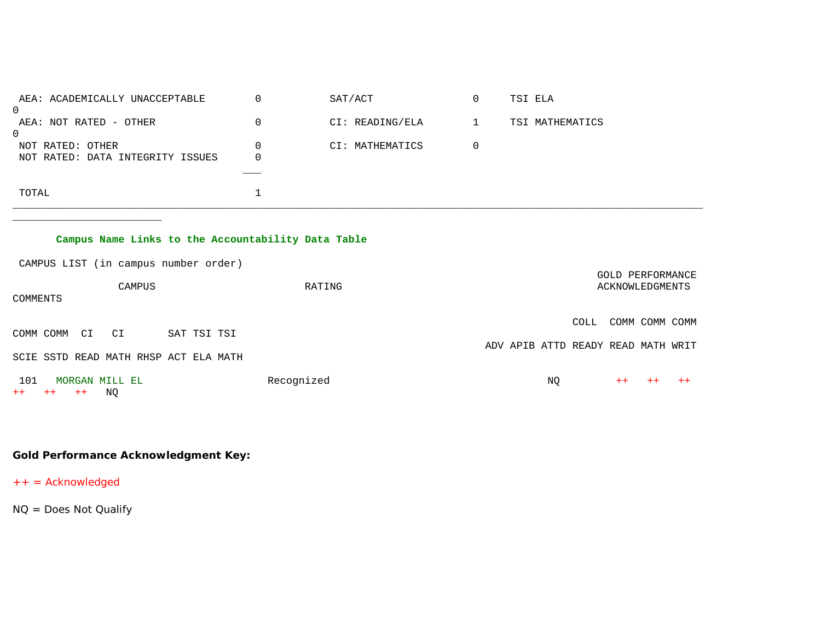| AEA: ACADEMICALLY UNACCEPTABLE<br>0 |          | SAT/ACT         | $\overline{0}$ | TSI ELA         |
|-------------------------------------|----------|-----------------|----------------|-----------------|
| AEA: NOT RATED - OTHER              | $\Omega$ | CI: READING/ELA |                | TSI MATHEMATICS |
| 0                                   |          |                 |                |                 |
| NOT RATED: OTHER                    | $\Omega$ | CI: MATHEMATICS | 0              |                 |
| NOT RATED: DATA INTEGRITY ISSUES    | 0        |                 |                |                 |
|                                     |          |                 |                |                 |
| TOTAL                               |          |                 |                |                 |

## **Campus Name Links to the Accountability Data Table**

CAMPUS LIST (in campus number order)

\_\_\_\_\_\_\_\_\_\_\_\_\_\_\_\_\_\_\_\_\_\_\_\_

| COMMENTS            | CAMPUS                                |             | RATING     | GOLD PERFORMANCE<br>ACKNOWLEDGMENTS |    |      |      |                |      |
|---------------------|---------------------------------------|-------------|------------|-------------------------------------|----|------|------|----------------|------|
| COMM COMM           | CI<br>CI                              | SAT TSI TSI |            |                                     |    | COLL |      | COMM COMM COMM |      |
|                     | SCIE SSTD READ MATH RHSP ACT ELA MATH |             |            | ADV APIB ATTD READY READ MATH WRIT  |    |      |      |                |      |
| 101<br>$++$<br>$++$ | MORGAN MILL EL<br>ΝO<br>$++$          |             | Recognized |                                     | NQ |      | $++$ | $^{++}$        | $++$ |

**Gold Performance Acknowledgment Key:**

++ = Acknowledged

NQ = Does Not Qualify